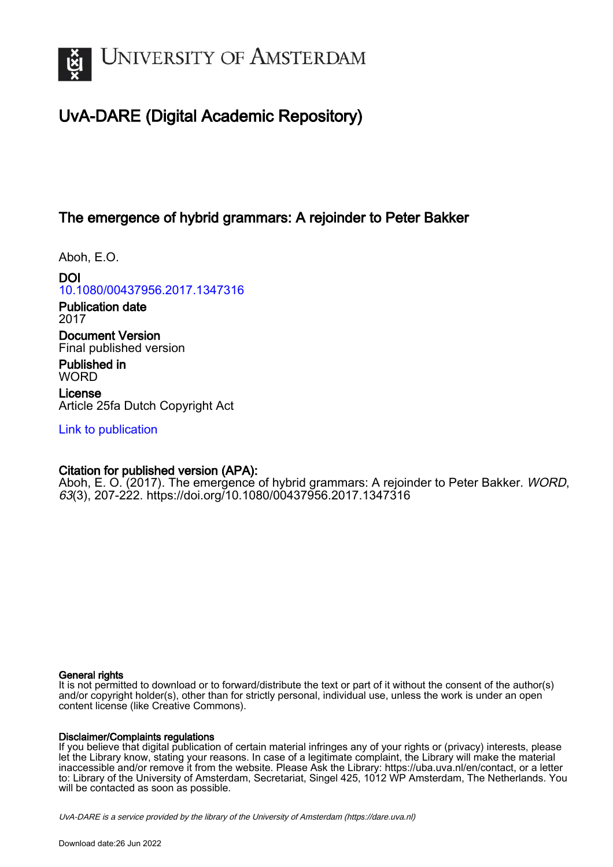

# UvA-DARE (Digital Academic Repository)

## The emergence of hybrid grammars: A rejoinder to Peter Bakker

Aboh, E.O.

DOI [10.1080/00437956.2017.1347316](https://doi.org/10.1080/00437956.2017.1347316)

Publication date 2017

Document Version Final published version

Published in **WORD** 

License Article 25fa Dutch Copyright Act

[Link to publication](https://dare.uva.nl/personal/pure/en/publications/the-emergence-of-hybrid-grammars-a-rejoinder-to-peter-bakker(4dbd9507-69a3-443e-81d9-75e4274dadad).html)

## Citation for published version (APA):

Aboh, E. O. (2017). The emergence of hybrid grammars: A rejoinder to Peter Bakker. WORD, 63(3), 207-222.<https://doi.org/10.1080/00437956.2017.1347316>

#### General rights

It is not permitted to download or to forward/distribute the text or part of it without the consent of the author(s) and/or copyright holder(s), other than for strictly personal, individual use, unless the work is under an open content license (like Creative Commons).

### Disclaimer/Complaints regulations

If you believe that digital publication of certain material infringes any of your rights or (privacy) interests, please let the Library know, stating your reasons. In case of a legitimate complaint, the Library will make the material inaccessible and/or remove it from the website. Please Ask the Library: https://uba.uva.nl/en/contact, or a letter to: Library of the University of Amsterdam, Secretariat, Singel 425, 1012 WP Amsterdam, The Netherlands. You will be contacted as soon as possible.

UvA-DARE is a service provided by the library of the University of Amsterdam (http*s*://dare.uva.nl)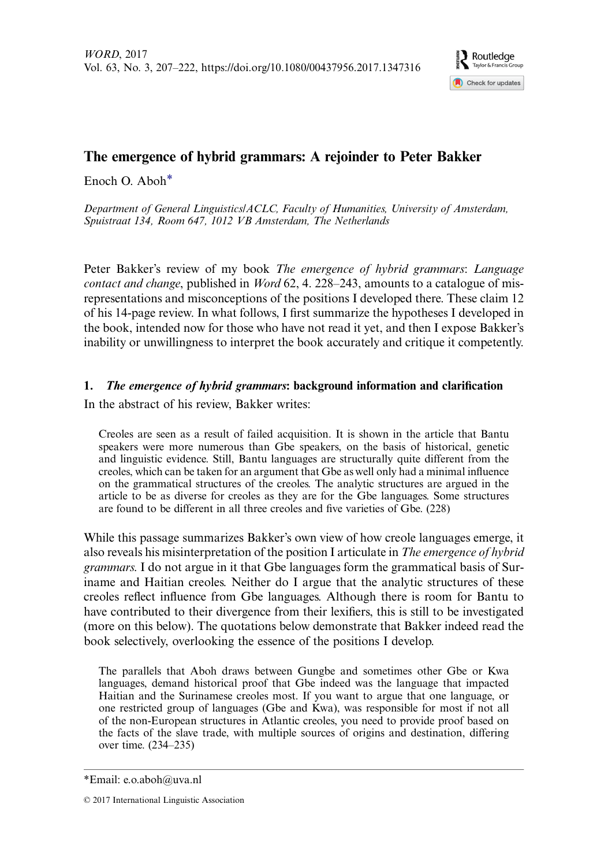

## The emergence of hybrid grammars: A rejoinder to Peter Bakker

Enoch O. Aboh\*

Department of General Linguistics/ACLC, Faculty of Humanities, University of Amsterdam, Spuistraat 134, Room 647, 1012 VB Amsterdam, The Netherlands

Peter Bakker's review of my book The emergence of hybrid grammars: Language *contact and change, published in Word 62, 4, 228–243, amounts to a catalogue of mis*representations and misconceptions of the positions I developed there. These claim 12 of his 14-page review. In what follows, I first summarize the hypotheses I developed in the book, intended now for those who have not read it yet, and then I expose Bakker's inability or unwillingness to interpret the book accurately and critique it competently.

#### 1. The emergence of hybrid grammars: background information and clarification

In the abstract of his review, Bakker writes:

Creoles are seen as a result of failed acquisition. It is shown in the article that Bantu speakers were more numerous than Gbe speakers, on the basis of historical, genetic and linguistic evidence. Still, Bantu languages are structurally quite different from the creoles, which can be taken for an argument that Gbe as well only had a minimal influence on the grammatical structures of the creoles. The analytic structures are argued in the article to be as diverse for creoles as they are for the Gbe languages. Some structures are found to be different in all three creoles and five varieties of Gbe. (228)

While this passage summarizes Bakker's own view of how creole languages emerge, it also reveals his misinterpretation of the position I articulate in The emergence of hybrid grammars. I do not argue in it that Gbe languages form the grammatical basis of Suriname and Haitian creoles. Neither do I argue that the analytic structures of these creoles reflect influence from Gbe languages. Although there is room for Bantu to have contributed to their divergence from their lexifiers, this is still to be investigated (more on this below). The quotations below demonstrate that Bakker indeed read the book selectively, overlooking the essence of the positions I develop.

The parallels that Aboh draws between Gungbe and sometimes other Gbe or Kwa languages, demand historical proof that Gbe indeed was the language that impacted Haitian and the Surinamese creoles most. If you want to argue that one language, or one restricted group of languages (Gbe and Kwa), was responsible for most if not all of the non-European structures in Atlantic creoles, you need to provide proof based on the facts of the slave trade, with multiple sources of origins and destination, differing over time. (234–235)

<sup>\*</sup>Email: [e.o.aboh@uva.nl](mailto:e.o.aboh@uva.nl)

<sup>© 2017</sup> International Linguistic Association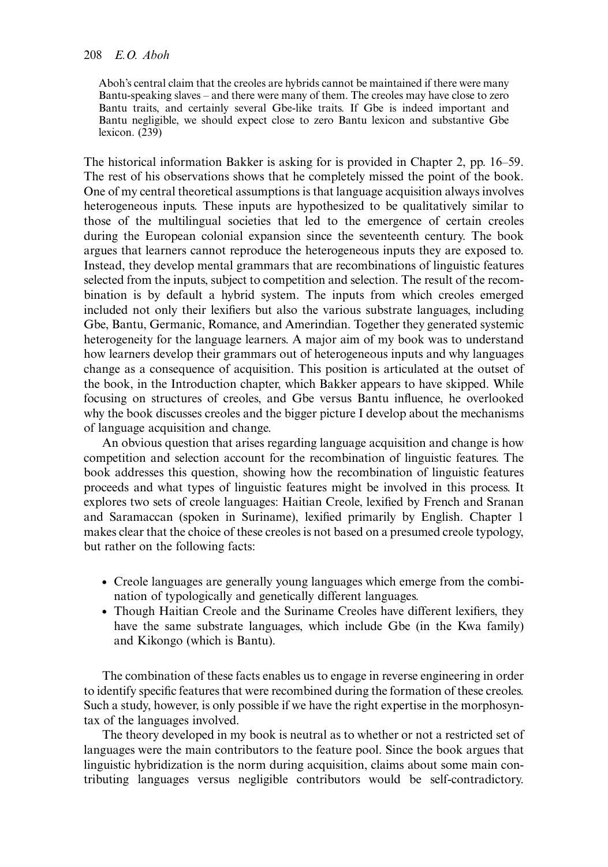Aboh's central claim that the creoles are hybrids cannot be maintained if there were many Bantu-speaking slaves – and there were many of them. The creoles may have close to zero Bantu traits, and certainly several Gbe-like traits. If Gbe is indeed important and Bantu negligible, we should expect close to zero Bantu lexicon and substantive Gbe lexicon. (239)

The historical information Bakker is asking for is provided in Chapter 2, pp. 16–59. The rest of his observations shows that he completely missed the point of the book. One of my central theoretical assumptions is that language acquisition always involves heterogeneous inputs. These inputs are hypothesized to be qualitatively similar to those of the multilingual societies that led to the emergence of certain creoles during the European colonial expansion since the seventeenth century. The book argues that learners cannot reproduce the heterogeneous inputs they are exposed to. Instead, they develop mental grammars that are recombinations of linguistic features selected from the inputs, subject to competition and selection. The result of the recombination is by default a hybrid system. The inputs from which creoles emerged included not only their lexifiers but also the various substrate languages, including Gbe, Bantu, Germanic, Romance, and Amerindian. Together they generated systemic heterogeneity for the language learners. A major aim of my book was to understand how learners develop their grammars out of heterogeneous inputs and why languages change as a consequence of acquisition. This position is articulated at the outset of the book, in the Introduction chapter, which Bakker appears to have skipped. While focusing on structures of creoles, and Gbe versus Bantu influence, he overlooked why the book discusses creoles and the bigger picture I develop about the mechanisms of language acquisition and change.

An obvious question that arises regarding language acquisition and change is how competition and selection account for the recombination of linguistic features. The book addresses this question, showing how the recombination of linguistic features proceeds and what types of linguistic features might be involved in this process. It explores two sets of creole languages: Haitian Creole, lexified by French and Sranan and Saramaccan (spoken in Suriname), lexified primarily by English. Chapter 1 makes clear that the choice of these creoles is not based on a presumed creole typology, but rather on the following facts:

- . Creole languages are generally young languages which emerge from the combination of typologically and genetically different languages.
- . Though Haitian Creole and the Suriname Creoles have different lexifiers, they have the same substrate languages, which include Gbe (in the Kwa family) and Kikongo (which is Bantu).

The combination of these facts enables us to engage in reverse engineering in order to identify specific features that were recombined during the formation of these creoles. Such a study, however, is only possible if we have the right expertise in the morphosyntax of the languages involved.

The theory developed in my book is neutral as to whether or not a restricted set of languages were the main contributors to the feature pool. Since the book argues that linguistic hybridization is the norm during acquisition, claims about some main contributing languages versus negligible contributors would be self-contradictory.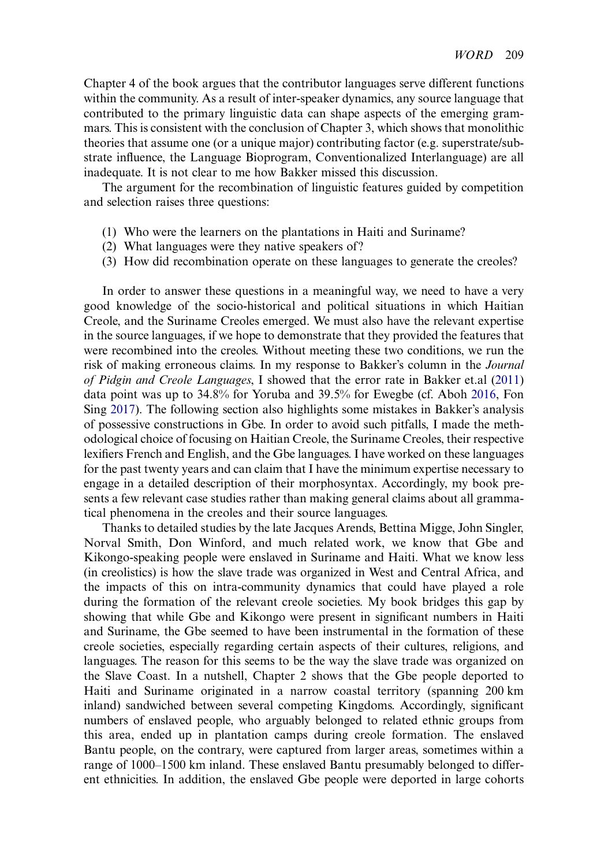<span id="page-3-0"></span>Chapter 4 of the book argues that the contributor languages serve different functions within the community. As a result of inter-speaker dynamics, any source language that contributed to the primary linguistic data can shape aspects of the emerging grammars. This is consistent with the conclusion of Chapter 3, which shows that monolithic theories that assume one (or a unique major) contributing factor (e.g. superstrate/substrate influence, the Language Bioprogram, Conventionalized Interlanguage) are all inadequate. It is not clear to me how Bakker missed this discussion.

The argument for the recombination of linguistic features guided by competition and selection raises three questions:

- (1) Who were the learners on the plantations in Haiti and Suriname?
- (2) What languages were they native speakers of ?
- (3) How did recombination operate on these languages to generate the creoles?

In order to answer these questions in a meaningful way, we need to have a very good knowledge of the socio-historical and political situations in which Haitian Creole, and the Suriname Creoles emerged. We must also have the relevant expertise in the source languages, if we hope to demonstrate that they provided the features that were recombined into the creoles. Without meeting these two conditions, we run the risk of making erroneous claims. In my response to Bakker's column in the Journal of Pidgin and Creole Languages, I showed that the error rate in Bakker et.al ([2011\)](#page-16-0) data point was up to 34.8% for Yoruba and 39.5% for Ewegbe (cf. Aboh [2016](#page-16-0), Fon Sing [2017\)](#page-16-0). The following section also highlights some mistakes in Bakker's analysis of possessive constructions in Gbe. In order to avoid such pitfalls, I made the methodological choice of focusing on Haitian Creole, the Suriname Creoles, their respective lexifiers French and English, and the Gbe languages. I have worked on these languages for the past twenty years and can claim that I have the minimum expertise necessary to engage in a detailed description of their morphosyntax. Accordingly, my book presents a few relevant case studies rather than making general claims about all grammatical phenomena in the creoles and their source languages.

Thanks to detailed studies by the late Jacques Arends, Bettina Migge, John Singler, Norval Smith, Don Winford, and much related work, we know that Gbe and Kikongo-speaking people were enslaved in Suriname and Haiti. What we know less (in creolistics) is how the slave trade was organized in West and Central Africa, and the impacts of this on intra-community dynamics that could have played a role during the formation of the relevant creole societies. My book bridges this gap by showing that while Gbe and Kikongo were present in significant numbers in Haiti and Suriname, the Gbe seemed to have been instrumental in the formation of these creole societies, especially regarding certain aspects of their cultures, religions, and languages. The reason for this seems to be the way the slave trade was organized on the Slave Coast. In a nutshell, Chapter 2 shows that the Gbe people deported to Haiti and Suriname originated in a narrow coastal territory (spanning 200 km inland) sandwiched between several competing Kingdoms. Accordingly, significant numbers of enslaved people, who arguably belonged to related ethnic groups from this area, ended up in plantation camps during creole formation. The enslaved Bantu people, on the contrary, were captured from larger areas, sometimes within a range of 1000–1500 km inland. These enslaved Bantu presumably belonged to different ethnicities. In addition, the enslaved Gbe people were deported in large cohorts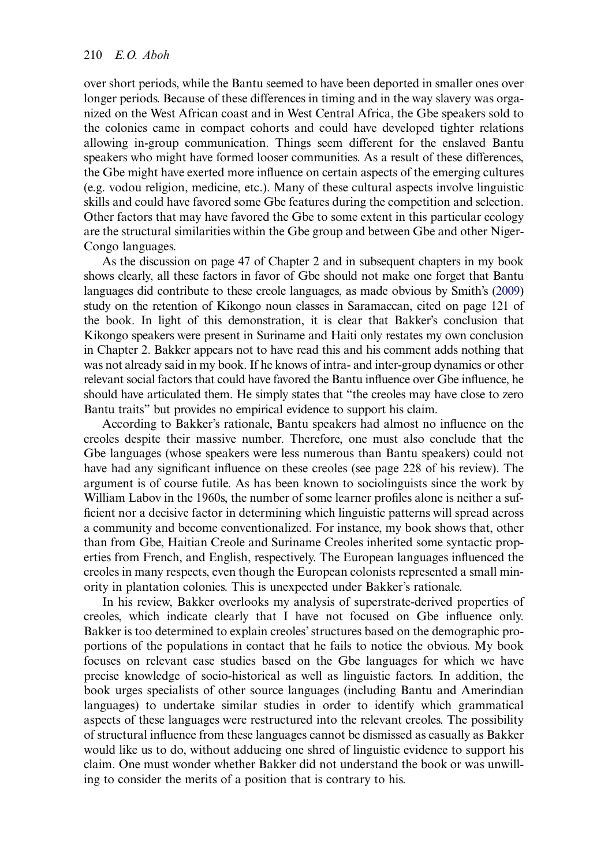<span id="page-4-0"></span>over short periods, while the Bantu seemed to have been deported in smaller ones over longer periods. Because of these differences in timing and in the way slavery was organized on the West African coast and in West Central Africa, the Gbe speakers sold to the colonies came in compact cohorts and could have developed tighter relations allowing in-group communication. Things seem different for the enslaved Bantu speakers who might have formed looser communities. As a result of these differences, the Gbe might have exerted more influence on certain aspects of the emerging cultures (e.g. vodou religion, medicine, etc.). Many of these cultural aspects involve linguistic skills and could have favored some Gbe features during the competition and selection. Other factors that may have favored the Gbe to some extent in this particular ecology are the structural similarities within the Gbe group and between Gbe and other Niger-Congo languages.

As the discussion on page 47 of Chapter 2 and in subsequent chapters in my book shows clearly, all these factors in favor of Gbe should not make one forget that Bantu languages did contribute to these creole languages, as made obvious by Smith's ([2009\)](#page-16-0) study on the retention of Kikongo noun classes in Saramaccan, cited on page 121 of the book. In light of this demonstration, it is clear that Bakker's conclusion that Kikongo speakers were present in Suriname and Haiti only restates my own conclusion in Chapter 2. Bakker appears not to have read this and his comment adds nothing that was not already said in my book. If he knows of intra- and inter-group dynamics or other relevant social factors that could have favored the Bantu influence over Gbe influence, he should have articulated them. He simply states that "the creoles may have close to zero Bantu traits" but provides no empirical evidence to support his claim.

According to Bakker's rationale, Bantu speakers had almost no influence on the creoles despite their massive number. Therefore, one must also conclude that the Gbe languages (whose speakers were less numerous than Bantu speakers) could not have had any significant influence on these creoles (see page 228 of his review). The argument is of course futile. As has been known to sociolinguists since the work by William Labov in the 1960s, the number of some learner profiles alone is neither a sufficient nor a decisive factor in determining which linguistic patterns will spread across a community and become conventionalized. For instance, my book shows that, other than from Gbe, Haitian Creole and Suriname Creoles inherited some syntactic properties from French, and English, respectively. The European languages influenced the creoles in many respects, even though the European colonists represented a small minority in plantation colonies. This is unexpected under Bakker's rationale.

In his review, Bakker overlooks my analysis of superstrate-derived properties of creoles, which indicate clearly that I have not focused on Gbe influence only. Bakker is too determined to explain creoles'structures based on the demographic proportions of the populations in contact that he fails to notice the obvious. My book focuses on relevant case studies based on the Gbe languages for which we have precise knowledge of socio-historical as well as linguistic factors. In addition, the book urges specialists of other source languages (including Bantu and Amerindian languages) to undertake similar studies in order to identify which grammatical aspects of these languages were restructured into the relevant creoles. The possibility of structural influence from these languages cannot be dismissed as casually as Bakker would like us to do, without adducing one shred of linguistic evidence to support his claim. One must wonder whether Bakker did not understand the book or was unwilling to consider the merits of a position that is contrary to his.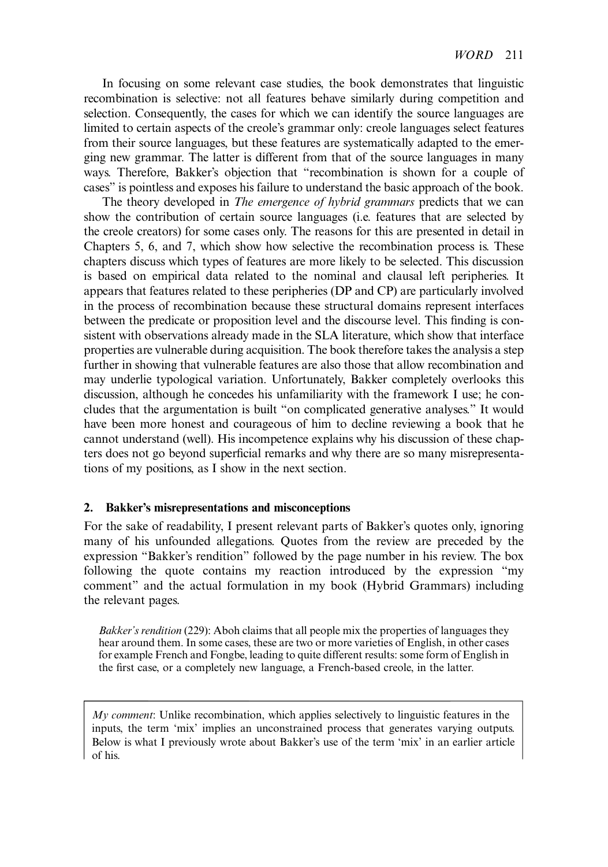In focusing on some relevant case studies, the book demonstrates that linguistic recombination is selective: not all features behave similarly during competition and selection. Consequently, the cases for which we can identify the source languages are limited to certain aspects of the creole's grammar only: creole languages select features from their source languages, but these features are systematically adapted to the emerging new grammar. The latter is different from that of the source languages in many ways. Therefore, Bakker's objection that "recombination is shown for a couple of cases" is pointless and exposes his failure to understand the basic approach of the book.

The theory developed in The emergence of hybrid grammars predicts that we can show the contribution of certain source languages (i.e. features that are selected by the creole creators) for some cases only. The reasons for this are presented in detail in Chapters 5, 6, and 7, which show how selective the recombination process is. These chapters discuss which types of features are more likely to be selected. This discussion is based on empirical data related to the nominal and clausal left peripheries. It appears that features related to these peripheries (DP and CP) are particularly involved in the process of recombination because these structural domains represent interfaces between the predicate or proposition level and the discourse level. This finding is consistent with observations already made in the SLA literature, which show that interface properties are vulnerable during acquisition. The book therefore takes the analysis a step further in showing that vulnerable features are also those that allow recombination and may underlie typological variation. Unfortunately, Bakker completely overlooks this discussion, although he concedes his unfamiliarity with the framework I use; he concludes that the argumentation is built "on complicated generative analyses." It would have been more honest and courageous of him to decline reviewing a book that he cannot understand (well). His incompetence explains why his discussion of these chapters does not go beyond superficial remarks and why there are so many misrepresentations of my positions, as I show in the next section.

#### 2. Bakker's misrepresentations and misconceptions

For the sake of readability, I present relevant parts of Bakker's quotes only, ignoring many of his unfounded allegations. Quotes from the review are preceded by the expression "Bakker's rendition" followed by the page number in his review. The box following the quote contains my reaction introduced by the expression "my comment" and the actual formulation in my book (Hybrid Grammars) including the relevant pages.

Bakker's rendition (229): Aboh claims that all people mix the properties of languages they hear around them. In some cases, these are two or more varieties of English, in other cases for example French and Fongbe, leading to quite different results: some form of English in the first case, or a completely new language, a French-based creole, in the latter.

 $My$  comment: Unlike recombination, which applies selectively to linguistic features in the inputs, the term 'mix' implies an unconstrained process that generates varying outputs. Below is what I previously wrote about Bakker's use of the term 'mix' in an earlier article of his.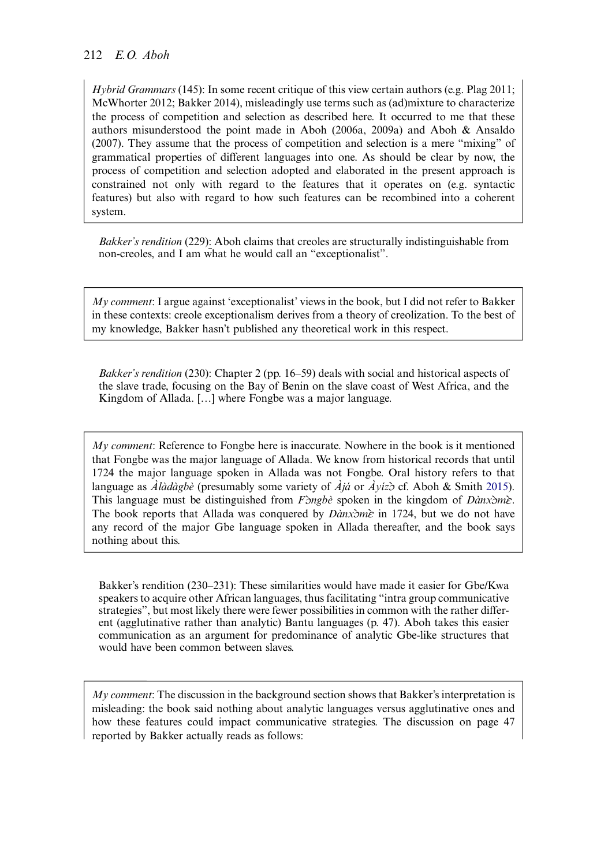#### <span id="page-6-0"></span>212 E.O. Aboh

Hybrid Grammars (145): In some recent critique of this view certain authors (e.g. Plag 2011; McWhorter 2012; Bakker 2014), misleadingly use terms such as (ad)mixture to characterize the process of competition and selection as described here. It occurred to me that these authors misunderstood the point made in Aboh (2006a, 2009a) and Aboh & Ansaldo (2007). They assume that the process of competition and selection is a mere "mixing" of grammatical properties of different languages into one. As should be clear by now, the process of competition and selection adopted and elaborated in the present approach is constrained not only with regard to the features that it operates on (e.g. syntactic features) but also with regard to how such features can be recombined into a coherent system.

Bakker's rendition (229): Aboh claims that creoles are structurally indistinguishable from non-creoles, and I am what he would call an "exceptionalist".

 $My$  comment: I argue against 'exceptionalist' views in the book, but I did not refer to Bakker in these contexts: creole exceptionalism derives from a theory of creolization. To the best of my knowledge, Bakker hasn't published any theoretical work in this respect.

Bakker's rendition (230): Chapter 2 (pp. 16–59) deals with social and historical aspects of the slave trade, focusing on the Bay of Benin on the slave coast of West Africa, and the Kingdom of Allada. […] where Fongbe was a major language.

 $My$  comment: Reference to Fongbe here is inaccurate. Nowhere in the book is it mentioned that Fongbe was the major language of Allada. We know from historical records that until 1724 the major language spoken in Allada was not Fongbe. Oral history refers to that language as  $\hat{A}$ làdàgbè (presumably some variety of  $\hat{A}$ já or  $\hat{A}$ yíz $\hat{B}$  cf. Aboh & Smith [2015\)](#page-16-0). This language must be distinguished from  $F \rightarrow o$  spoken in the kingdom of Danx  $\geq \infty$ . The book reports that Allada was conquered by  $D\text{dn}x\text{Im}\hat{x}$  in 1724, but we do not have any record of the major Gbe language spoken in Allada thereafter, and the book says nothing about this.

Bakker's rendition (230–231): These similarities would have made it easier for Gbe/Kwa speakers to acquire other African languages, thus facilitating "intra group communicative strategies", but most likely there were fewer possibilities in common with the rather different (agglutinative rather than analytic) Bantu languages (p. 47). Aboh takes this easier communication as an argument for predominance of analytic Gbe-like structures that would have been common between slaves.

 $My$  comment: The discussion in the background section shows that Bakker's interpretation is misleading: the book said nothing about analytic languages versus agglutinative ones and how these features could impact communicative strategies. The discussion on page 47 reported by Bakker actually reads as follows: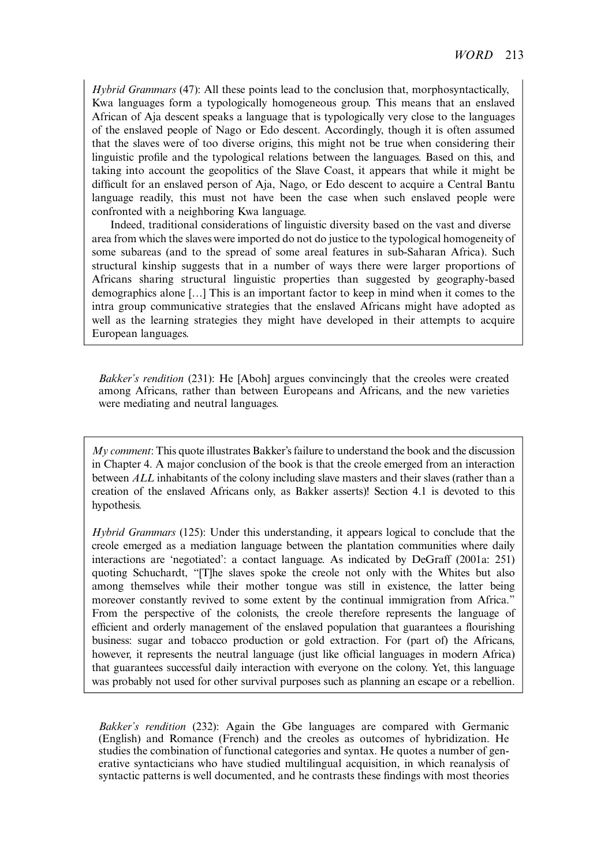Hybrid Grammars (47): All these points lead to the conclusion that, morphosyntactically, Kwa languages form a typologically homogeneous group. This means that an enslaved African of Aja descent speaks a language that is typologically very close to the languages of the enslaved people of Nago or Edo descent. Accordingly, though it is often assumed that the slaves were of too diverse origins, this might not be true when considering their linguistic profile and the typological relations between the languages. Based on this, and taking into account the geopolitics of the Slave Coast, it appears that while it might be difficult for an enslaved person of Aja, Nago, or Edo descent to acquire a Central Bantu language readily, this must not have been the case when such enslaved people were confronted with a neighboring Kwa language.

Indeed, traditional considerations of linguistic diversity based on the vast and diverse area from which the slaves were imported do not do justice to the typological homogeneity of some subareas (and to the spread of some areal features in sub-Saharan Africa). Such structural kinship suggests that in a number of ways there were larger proportions of Africans sharing structural linguistic properties than suggested by geography-based demographics alone […] This is an important factor to keep in mind when it comes to the intra group communicative strategies that the enslaved Africans might have adopted as well as the learning strategies they might have developed in their attempts to acquire European languages.

Bakker's rendition (231): He [Aboh] argues convincingly that the creoles were created among Africans, rather than between Europeans and Africans, and the new varieties were mediating and neutral languages.

 $My comment: This quote illustrates Bakker's failure to understand the book and the discussion$ in Chapter 4. A major conclusion of the book is that the creole emerged from an interaction between ALL inhabitants of the colony including slave masters and their slaves (rather than a creation of the enslaved Africans only, as Bakker asserts)! Section 4.1 is devoted to this hypothesis.

Hybrid Grammars (125): Under this understanding, it appears logical to conclude that the creole emerged as a mediation language between the plantation communities where daily interactions are 'negotiated': a contact language. As indicated by DeGraff (2001a: 251) quoting Schuchardt, "[T]he slaves spoke the creole not only with the Whites but also among themselves while their mother tongue was still in existence, the latter being moreover constantly revived to some extent by the continual immigration from Africa." From the perspective of the colonists, the creole therefore represents the language of efficient and orderly management of the enslaved population that guarantees a flourishing business: sugar and tobacco production or gold extraction. For (part of) the Africans, however, it represents the neutral language (just like official languages in modern Africa) that guarantees successful daily interaction with everyone on the colony. Yet, this language was probably not used for other survival purposes such as planning an escape or a rebellion.

Bakker's rendition (232): Again the Gbe languages are compared with Germanic (English) and Romance (French) and the creoles as outcomes of hybridization. He studies the combination of functional categories and syntax. He quotes a number of generative syntacticians who have studied multilingual acquisition, in which reanalysis of syntactic patterns is well documented, and he contrasts these findings with most theories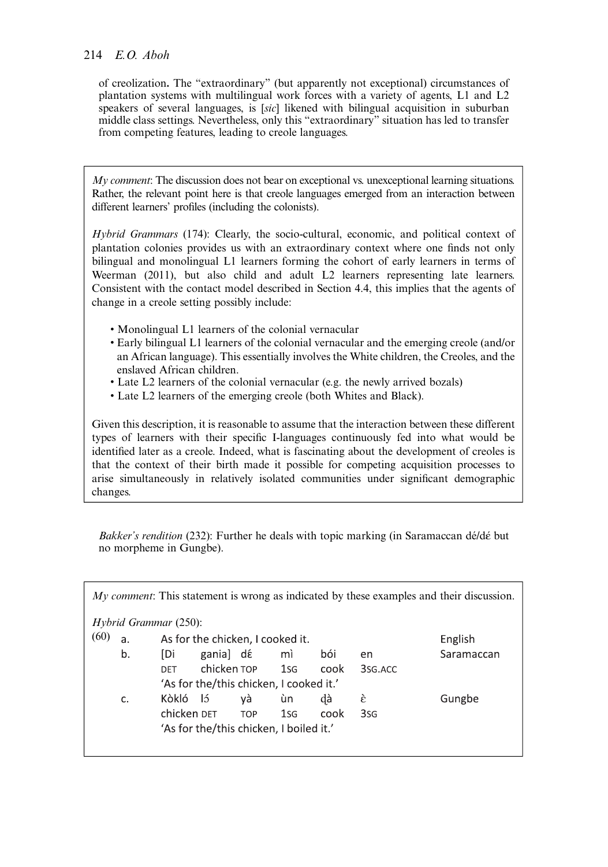#### 214  $E$  O Aboh

of creolization. The "extraordinary" (but apparently not exceptional) circumstances of plantation systems with multilingual work forces with a variety of agents, L1 and L2 speakers of several languages, is [sic] likened with bilingual acquisition in suburban middle class settings. Nevertheless, only this "extraordinary" situation has led to transfer from competing features, leading to creole languages.

 $Mv$  *comment*: The discussion does not bear on exceptional vs. unexceptional learning situations. Rather, the relevant point here is that creole languages emerged from an interaction between different learners' profiles (including the colonists).

Hybrid Grammars (174): Clearly, the socio-cultural, economic, and political context of plantation colonies provides us with an extraordinary context where one finds not only bilingual and monolingual L1 learners forming the cohort of early learners in terms of Weerman (2011), but also child and adult L2 learners representing late learners. Consistent with the contact model described in Section 4.4, this implies that the agents of change in a creole setting possibly include:

- Monolingual L1 learners of the colonial vernacular
- Early bilingual L1 learners of the colonial vernacular and the emerging creole (and/or an African language). This essentially involves the White children, the Creoles, and the enslaved African children.
- Late L2 learners of the colonial vernacular (e.g. the newly arrived bozals)
- Late L2 learners of the emerging creole (both Whites and Black).

Given this description, it is reasonable to assume that the interaction between these different types of learners with their specific I-languages continuously fed into what would be identified later as a creole. Indeed, what is fascinating about the development of creoles is that the context of their birth made it possible for competing acquisition processes to arise simultaneously in relatively isolated communities under significant demographic changes.

Bakker's rendition (232): Further he deals with topic marking (in Saramaccan dé/dé but no morpheme in Gungbe).

|                         |                                         |                                         |                                  |            |                |      |                 | $My$ comment: This statement is wrong as indicated by these examples and their discussion. |  |  |
|-------------------------|-----------------------------------------|-----------------------------------------|----------------------------------|------------|----------------|------|-----------------|--------------------------------------------------------------------------------------------|--|--|
| $Hybrid$ Grammar (250): |                                         |                                         |                                  |            |                |      |                 |                                                                                            |  |  |
| (60)                    | a.                                      |                                         | As for the chicken, I cooked it. |            | English        |      |                 |                                                                                            |  |  |
|                         | b.                                      | [Di                                     | gania) dé                        |            | mì             | bói  | en              | Saramaccan                                                                                 |  |  |
|                         |                                         | <b>DET</b>                              | chicken TOP                      |            | $1$ SG         | cook | 3SG.ACC         |                                                                                            |  |  |
|                         | 'As for the/this chicken, I cooked it.' |                                         |                                  |            |                |      |                 |                                                                                            |  |  |
|                         | C.                                      | Kòkló ló                                |                                  | và         | ùn             | dà   | è               | Gungbe                                                                                     |  |  |
|                         |                                         | chicken DET                             |                                  | <b>TOP</b> | 1 <sub>S</sub> | cook | 3s <sub>G</sub> |                                                                                            |  |  |
|                         |                                         | 'As for the/this chicken, I boiled it.' |                                  |            |                |      |                 |                                                                                            |  |  |
|                         |                                         |                                         |                                  |            |                |      |                 |                                                                                            |  |  |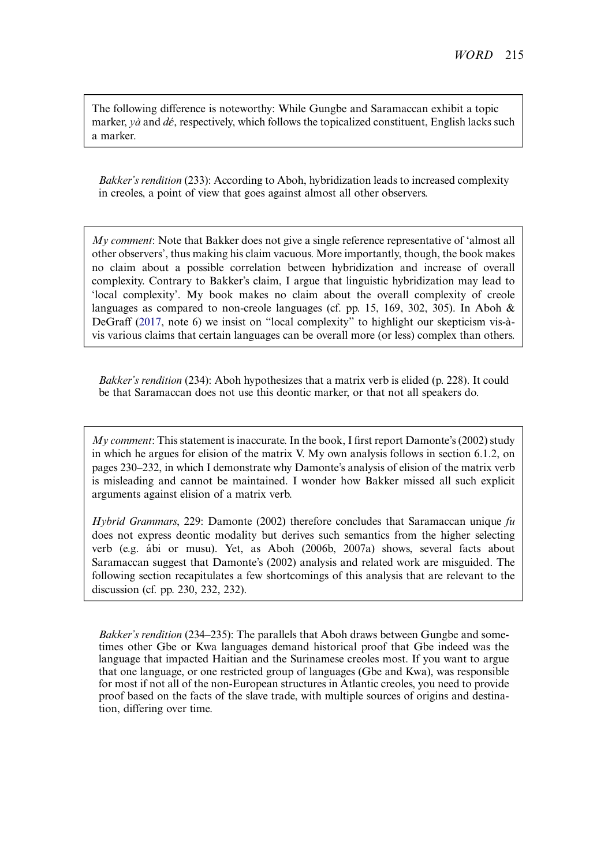<span id="page-9-0"></span>The following difference is noteworthy: While Gungbe and Saramaccan exhibit a topic marker,  $v\dot{a}$  and  $d\acute{\epsilon}$ , respectively, which follows the topicalized constituent, English lacks such a marker.

Bakker's rendition (233): According to Aboh, hybridization leads to increased complexity in creoles, a point of view that goes against almost all other observers.

My comment: Note that Bakker does not give a single reference representative of 'almost all other observers', thus making his claim vacuous. More importantly, though, the book makes no claim about a possible correlation between hybridization and increase of overall complexity. Contrary to Bakker's claim, I argue that linguistic hybridization may lead to 'local complexity'. My book makes no claim about the overall complexity of creole languages as compared to non-creole languages (cf. pp. 15, 169, 302, 305). In Aboh & DeGraff ([2017,](#page-16-0) note 6) we insist on "local complexity" to highlight our skepticism vis-àvis various claims that certain languages can be overall more (or less) complex than others.

Bakker's rendition (234): Aboh hypothesizes that a matrix verb is elided (p. 228). It could be that Saramaccan does not use this deontic marker, or that not all speakers do.

 $My comment$ : This statement is inaccurate. In the book, I first report Damonte's (2002) study in which he argues for elision of the matrix V. My own analysis follows in section 6.1.2, on pages 230–232, in which I demonstrate why Damonte's analysis of elision of the matrix verb is misleading and cannot be maintained. I wonder how Bakker missed all such explicit arguments against elision of a matrix verb.

*Hybrid Grammars,* 229: Damonte (2002) therefore concludes that Saramaccan unique  $fu$ does not express deontic modality but derives such semantics from the higher selecting verb (e.g. ábi or musu). Yet, as Aboh (2006b, 2007a) shows, several facts about Saramaccan suggest that Damonte's (2002) analysis and related work are misguided. The following section recapitulates a few shortcomings of this analysis that are relevant to the discussion (cf. pp. 230, 232, 232).

Bakker's rendition (234–235): The parallels that Aboh draws between Gungbe and sometimes other Gbe or Kwa languages demand historical proof that Gbe indeed was the language that impacted Haitian and the Surinamese creoles most. If you want to argue that one language, or one restricted group of languages (Gbe and Kwa), was responsible for most if not all of the non-European structures in Atlantic creoles, you need to provide proof based on the facts of the slave trade, with multiple sources of origins and destination, differing over time.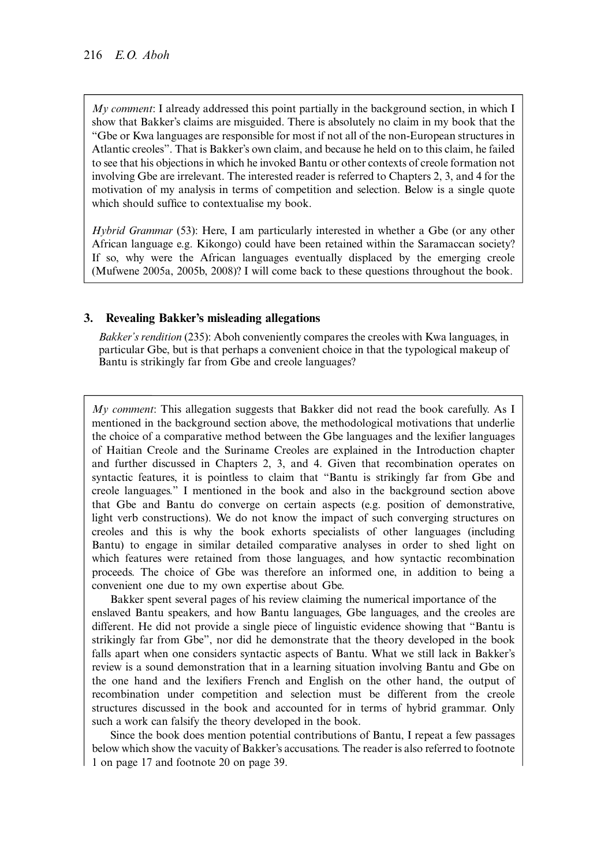$Mv$  comment: I already addressed this point partially in the background section, in which I show that Bakker's claims are misguided. There is absolutely no claim in my book that the "Gbe or Kwa languages are responsible for most if not all of the non-European structures in Atlantic creoles". That is Bakker's own claim, and because he held on to this claim, he failed to see that his objections in which he invoked Bantu or other contexts of creole formation not involving Gbe are irrelevant. The interested reader is referred to Chapters 2, 3, and 4 for the motivation of my analysis in terms of competition and selection. Below is a single quote which should suffice to contextualise my book.

Hybrid Grammar (53): Here, I am particularly interested in whether a Gbe (or any other African language e.g. Kikongo) could have been retained within the Saramaccan society? If so, why were the African languages eventually displaced by the emerging creole (Mufwene 2005a, 2005b, 2008)? I will come back to these questions throughout the book.

#### 3. Revealing Bakker's misleading allegations

Bakker's rendition (235): Aboh conveniently compares the creoles with Kwa languages, in particular Gbe, but is that perhaps a convenient choice in that the typological makeup of Bantu is strikingly far from Gbe and creole languages?

 $My$  comment: This allegation suggests that Bakker did not read the book carefully. As I mentioned in the background section above, the methodological motivations that underlie the choice of a comparative method between the Gbe languages and the lexifier languages of Haitian Creole and the Suriname Creoles are explained in the Introduction chapter and further discussed in Chapters 2, 3, and 4. Given that recombination operates on syntactic features, it is pointless to claim that "Bantu is strikingly far from Gbe and creole languages." I mentioned in the book and also in the background section above that Gbe and Bantu do converge on certain aspects (e.g. position of demonstrative, light verb constructions). We do not know the impact of such converging structures on creoles and this is why the book exhorts specialists of other languages (including Bantu) to engage in similar detailed comparative analyses in order to shed light on which features were retained from those languages, and how syntactic recombination proceeds. The choice of Gbe was therefore an informed one, in addition to being a convenient one due to my own expertise about Gbe.

Bakker spent several pages of his review claiming the numerical importance of the enslaved Bantu speakers, and how Bantu languages, Gbe languages, and the creoles are different. He did not provide a single piece of linguistic evidence showing that "Bantu is strikingly far from Gbe", nor did he demonstrate that the theory developed in the book falls apart when one considers syntactic aspects of Bantu. What we still lack in Bakker's review is a sound demonstration that in a learning situation involving Bantu and Gbe on the one hand and the lexifiers French and English on the other hand, the output of recombination under competition and selection must be different from the creole structures discussed in the book and accounted for in terms of hybrid grammar. Only such a work can falsify the theory developed in the book.

Since the book does mention potential contributions of Bantu, I repeat a few passages below which show the vacuity of Bakker's accusations. The reader is also referred to footnote 1 on page 17 and footnote 20 on page 39.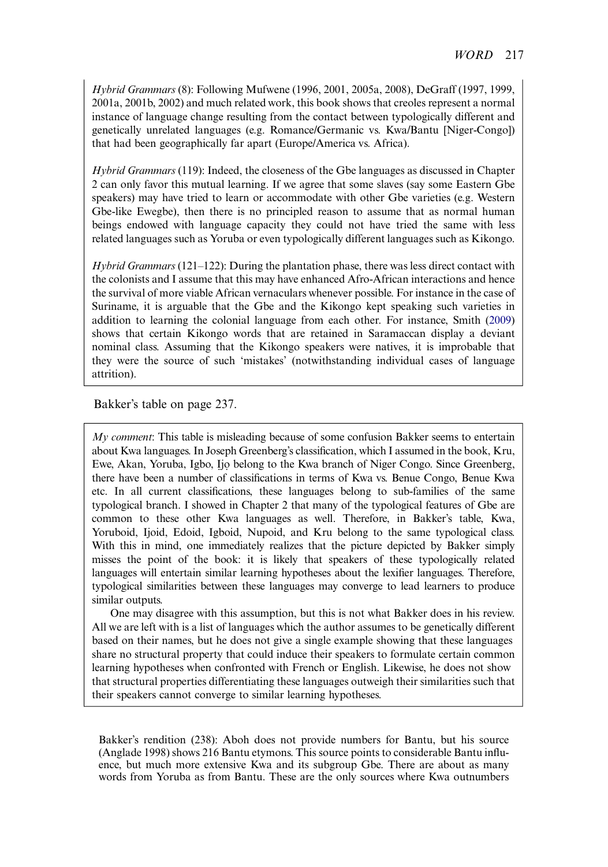Hybrid Grammars (8): Following Mufwene (1996, 2001, 2005a, 2008), DeGraff (1997, 1999, 2001a, 2001b, 2002) and much related work, this book shows that creoles represent a normal instance of language change resulting from the contact between typologically different and genetically unrelated languages (e.g. Romance/Germanic vs. Kwa/Bantu [Niger-Congo]) that had been geographically far apart (Europe/America vs. Africa).

Hybrid Grammars (119): Indeed, the closeness of the Gbe languages as discussed in Chapter 2 can only favor this mutual learning. If we agree that some slaves (say some Eastern Gbe speakers) may have tried to learn or accommodate with other Gbe varieties (e.g. Western Gbe-like Ewegbe), then there is no principled reason to assume that as normal human beings endowed with language capacity they could not have tried the same with less related languages such as Yoruba or even typologically different languages such as Kikongo.

*Hybrid Grammars* (121–122): During the plantation phase, there was less direct contact with the colonists and I assume that this may have enhanced Afro-African interactions and hence the survival of more viable African vernaculars whenever possible. For instance in the case of Suriname, it is arguable that the Gbe and the Kikongo kept speaking such varieties in addition to learning the colonial language from each other. For instance, Smith [\(2009\)](#page-16-0) shows that certain Kikongo words that are retained in Saramaccan display a deviant nominal class. Assuming that the Kikongo speakers were natives, it is improbable that they were the source of such 'mistakes' (notwithstanding individual cases of language attrition).

Bakker's table on page 237.

 $My$  comment: This table is misleading because of some confusion Bakker seems to entertain about Kwa languages. In Joseph Greenberg's classification, which I assumed in the book, Kru, Ewe, Akan, Yoruba, Igbo, Ijo belong to the Kwa branch of Niger Congo. Since Greenberg, there have been a number of classifications in terms of Kwa vs. Benue Congo, Benue Kwa etc. In all current classifications, these languages belong to sub-families of the same typological branch. I showed in Chapter 2 that many of the typological features of Gbe are common to these other Kwa languages as well. Therefore, in Bakker's table, Kwa, Yoruboid, Ijoid, Edoid, Igboid, Nupoid, and Kru belong to the same typological class. With this in mind, one immediately realizes that the picture depicted by Bakker simply misses the point of the book: it is likely that speakers of these typologically related languages will entertain similar learning hypotheses about the lexifier languages. Therefore, typological similarities between these languages may converge to lead learners to produce similar outputs.

One may disagree with this assumption, but this is not what Bakker does in his review. All we are left with is a list of languages which the author assumes to be genetically different based on their names, but he does not give a single example showing that these languages share no structural property that could induce their speakers to formulate certain common learning hypotheses when confronted with French or English. Likewise, he does not show that structural properties differentiating these languages outweigh their similarities such that their speakers cannot converge to similar learning hypotheses.

Bakker's rendition (238): Aboh does not provide numbers for Bantu, but his source (Anglade 1998) shows 216 Bantu etymons. This source points to considerable Bantu influence, but much more extensive Kwa and its subgroup Gbe. There are about as many words from Yoruba as from Bantu. These are the only sources where Kwa outnumbers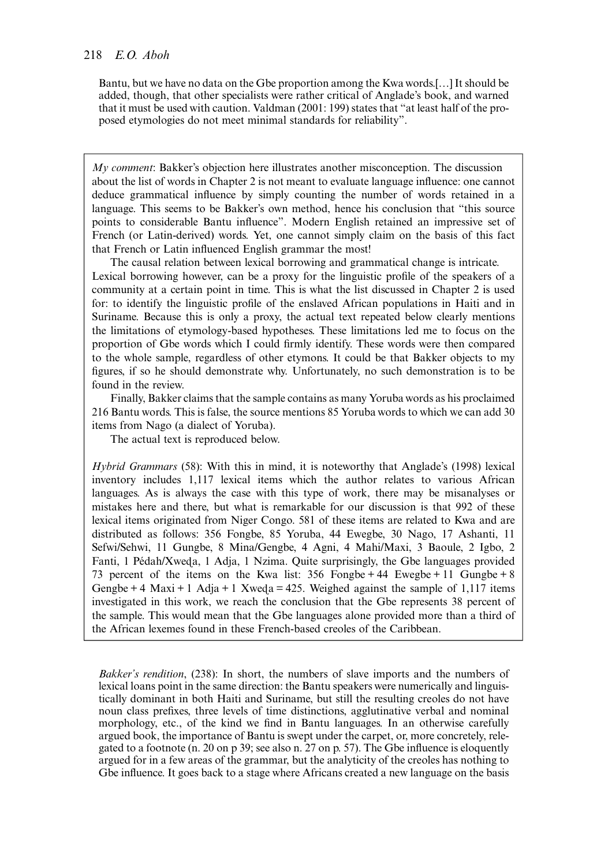#### 218 E.O. Aboh

Bantu, but we have no data on the Gbe proportion among the Kwa words.[…] It should be added, though, that other specialists were rather critical of Anglade's book, and warned that it must be used with caution. Valdman (2001: 199) states that "at least half of the proposed etymologies do not meet minimal standards for reliability".

 $Mv$  *comment*: Bakker's objection here illustrates another misconception. The discussion about the list of words in Chapter 2 is not meant to evaluate language influence: one cannot deduce grammatical influence by simply counting the number of words retained in a language. This seems to be Bakker's own method, hence his conclusion that "this source points to considerable Bantu influence". Modern English retained an impressive set of French (or Latin-derived) words. Yet, one cannot simply claim on the basis of this fact that French or Latin influenced English grammar the most!

The causal relation between lexical borrowing and grammatical change is intricate. Lexical borrowing however, can be a proxy for the linguistic profile of the speakers of a community at a certain point in time. This is what the list discussed in Chapter 2 is used for: to identify the linguistic profile of the enslaved African populations in Haiti and in Suriname. Because this is only a proxy, the actual text repeated below clearly mentions the limitations of etymology-based hypotheses. These limitations led me to focus on the proportion of Gbe words which I could firmly identify. These words were then compared to the whole sample, regardless of other etymons. It could be that Bakker objects to my figures, if so he should demonstrate why. Unfortunately, no such demonstration is to be found in the review.

Finally, Bakker claims that the sample contains as many Yoruba words as his proclaimed 216 Bantu words. This is false, the source mentions 85 Yoruba words to which we can add 30 items from Nago (a dialect of Yoruba).

The actual text is reproduced below.

Hybrid Grammars (58): With this in mind, it is noteworthy that Anglade's (1998) lexical inventory includes 1,117 lexical items which the author relates to various African languages. As is always the case with this type of work, there may be misanalyses or mistakes here and there, but what is remarkable for our discussion is that 992 of these lexical items originated from Niger Congo. 581 of these items are related to Kwa and are distributed as follows: 356 Fongbe, 85 Yoruba, 44 Ewegbe, 30 Nago, 17 Ashanti, 11 Sefwi/Sehwi, 11 Gungbe, 8 Mina/Gengbe, 4 Agni, 4 Mahi/Maxi, 3 Baoule, 2 Igbo, 2 Fanti, 1 Pédah/Xweɖa, 1 Adja, 1 Nzima. Quite surprisingly, the Gbe languages provided 73 percent of the items on the Kwa list: 356 Fongbe + 44 Ewegbe + 11 Gungbe + 8 Gengbe + 4 Maxi + 1 Adja + 1 Xweda = 425. Weighed against the sample of 1,117 items investigated in this work, we reach the conclusion that the Gbe represents 38 percent of the sample. This would mean that the Gbe languages alone provided more than a third of the African lexemes found in these French-based creoles of the Caribbean.

Bakker's rendition, (238): In short, the numbers of slave imports and the numbers of lexical loans point in the same direction: the Bantu speakers were numerically and linguistically dominant in both Haiti and Suriname, but still the resulting creoles do not have noun class prefixes, three levels of time distinctions, agglutinative verbal and nominal morphology, etc., of the kind we find in Bantu languages. In an otherwise carefully argued book, the importance of Bantu is swept under the carpet, or, more concretely, relegated to a footnote (n. 20 on p 39; see also n. 27 on p. 57). The Gbe influence is eloquently argued for in a few areas of the grammar, but the analyticity of the creoles has nothing to Gbe influence. It goes back to a stage where Africans created a new language on the basis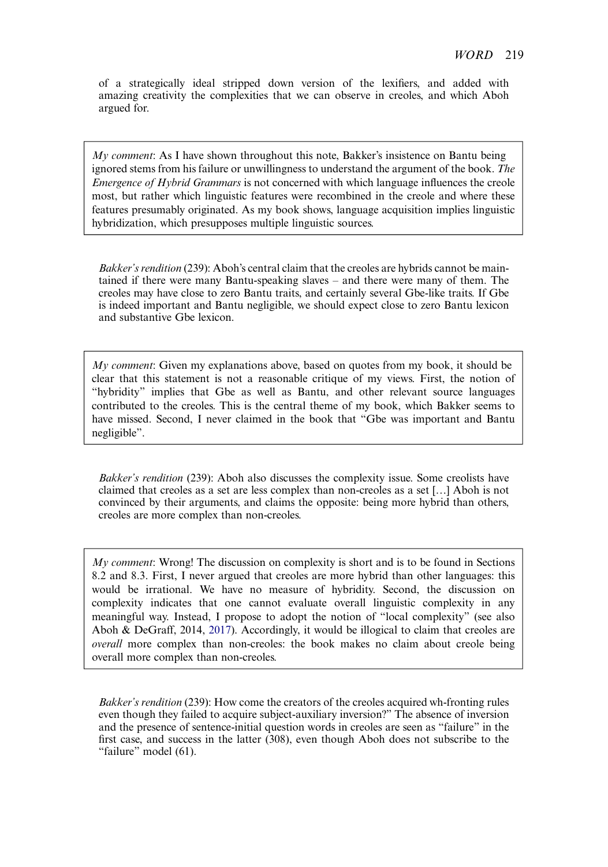of a strategically ideal stripped down version of the lexifiers, and added with amazing creativity the complexities that we can observe in creoles, and which Aboh argued for.

 $My$  comment: As I have shown throughout this note, Bakker's insistence on Bantu being ignored stems from his failure or unwillingness to understand the argument of the book. The Emergence of Hybrid Grammars is not concerned with which language influences the creole most, but rather which linguistic features were recombined in the creole and where these features presumably originated. As my book shows, language acquisition implies linguistic hybridization, which presupposes multiple linguistic sources.

Bakker's rendition (239): Aboh's central claim that the creoles are hybrids cannot be maintained if there were many Bantu-speaking slaves – and there were many of them. The creoles may have close to zero Bantu traits, and certainly several Gbe-like traits. If Gbe is indeed important and Bantu negligible, we should expect close to zero Bantu lexicon and substantive Gbe lexicon.

 $Mv$  comment: Given my explanations above, based on quotes from my book, it should be clear that this statement is not a reasonable critique of my views. First, the notion of "hybridity" implies that Gbe as well as Bantu, and other relevant source languages contributed to the creoles. This is the central theme of my book, which Bakker seems to have missed. Second, I never claimed in the book that "Gbe was important and Bantu negligible".

Bakker's rendition (239): Aboh also discusses the complexity issue. Some creolists have claimed that creoles as a set are less complex than non-creoles as a set […] Aboh is not convinced by their arguments, and claims the opposite: being more hybrid than others, creoles are more complex than non-creoles.

 $My comment$ : Wrong! The discussion on complexity is short and is to be found in Sections 8.2 and 8.3. First, I never argued that creoles are more hybrid than other languages: this would be irrational. We have no measure of hybridity. Second, the discussion on complexity indicates that one cannot evaluate overall linguistic complexity in any meaningful way. Instead, I propose to adopt the notion of "local complexity" (see also Aboh & DeGraff, 2014, [2017](#page-16-0)). Accordingly, it would be illogical to claim that creoles are overall more complex than non-creoles: the book makes no claim about creole being overall more complex than non-creoles.

Bakker's rendition (239): How come the creators of the creoles acquired wh-fronting rules even though they failed to acquire subject-auxiliary inversion?" The absence of inversion and the presence of sentence-initial question words in creoles are seen as "failure" in the first case, and success in the latter (308), even though Aboh does not subscribe to the "failure" model (61).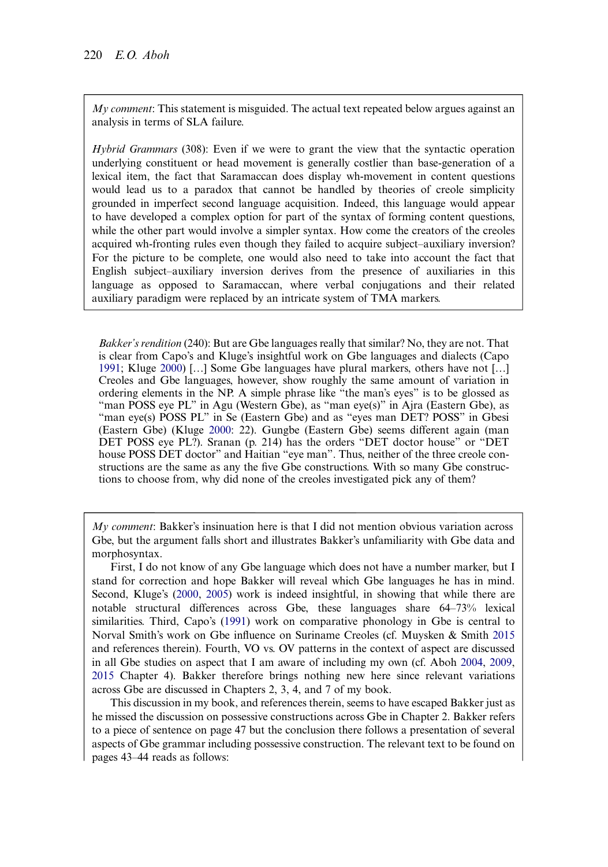<span id="page-14-0"></span> $Mv$  comment: This statement is misguided. The actual text repeated below argues against an analysis in terms of SLA failure.

Hybrid Grammars (308): Even if we were to grant the view that the syntactic operation underlying constituent or head movement is generally costlier than base-generation of a lexical item, the fact that Saramaccan does display wh-movement in content questions would lead us to a paradox that cannot be handled by theories of creole simplicity grounded in imperfect second language acquisition. Indeed, this language would appear to have developed a complex option for part of the syntax of forming content questions, while the other part would involve a simpler syntax. How come the creators of the creoles acquired wh-fronting rules even though they failed to acquire subject–auxiliary inversion? For the picture to be complete, one would also need to take into account the fact that English subject–auxiliary inversion derives from the presence of auxiliaries in this language as opposed to Saramaccan, where verbal conjugations and their related auxiliary paradigm were replaced by an intricate system of TMA markers.

Bakker's rendition (240): But are Gbe languages really that similar? No, they are not. That is clear from Capo's and Kluge's insightful work on Gbe languages and dialects (Capo [1991](#page-16-0); Kluge [2000\)](#page-16-0) […] Some Gbe languages have plural markers, others have not […] Creoles and Gbe languages, however, show roughly the same amount of variation in ordering elements in the NP. A simple phrase like "the man's eyes" is to be glossed as "man POSS eye PL" in Agu (Western Gbe), as "man eye(s)" in Ajra (Eastern Gbe), as "man eye(s) POSS PL" in Se (Eastern Gbe) and as "eyes man DET? POSS" in Gbesi (Eastern Gbe) (Kluge [2000:](#page-16-0) 22). Gungbe (Eastern Gbe) seems different again (man DET POSS eye PL?). Sranan (p. 214) has the orders "DET doctor house" or "DET house POSS DET doctor" and Haitian "eye man". Thus, neither of the three creole constructions are the same as any the five Gbe constructions. With so many Gbe constructions to choose from, why did none of the creoles investigated pick any of them?

 $My$  comment: Bakker's insinuation here is that I did not mention obvious variation across Gbe, but the argument falls short and illustrates Bakker's unfamiliarity with Gbe data and morphosyntax.

First, I do not know of any Gbe language which does not have a number marker, but I stand for correction and hope Bakker will reveal which Gbe languages he has in mind. Second, Kluge's [\(2000](#page-16-0), [2005](#page-16-0)) work is indeed insightful, in showing that while there are notable structural differences across Gbe, these languages share 64–73% lexical similarities. Third, Capo's ([1991](#page-16-0)) work on comparative phonology in Gbe is central to Norval Smith's work on Gbe influence on Suriname Creoles (cf. Muysken & Smith [2015](#page-16-0) and references therein). Fourth, VO vs. OV patterns in the context of aspect are discussed in all Gbe studies on aspect that I am aware of including my own (cf. Aboh [2004,](#page-16-0) [2009,](#page-16-0) [2015](#page-16-0) Chapter 4). Bakker therefore brings nothing new here since relevant variations across Gbe are discussed in Chapters 2, 3, 4, and 7 of my book.

This discussion in my book, and references therein, seems to have escaped Bakker just as he missed the discussion on possessive constructions across Gbe in Chapter 2. Bakker refers to a piece of sentence on page 47 but the conclusion there follows a presentation of several aspects of Gbe grammar including possessive construction. The relevant text to be found on pages 43–44 reads as follows: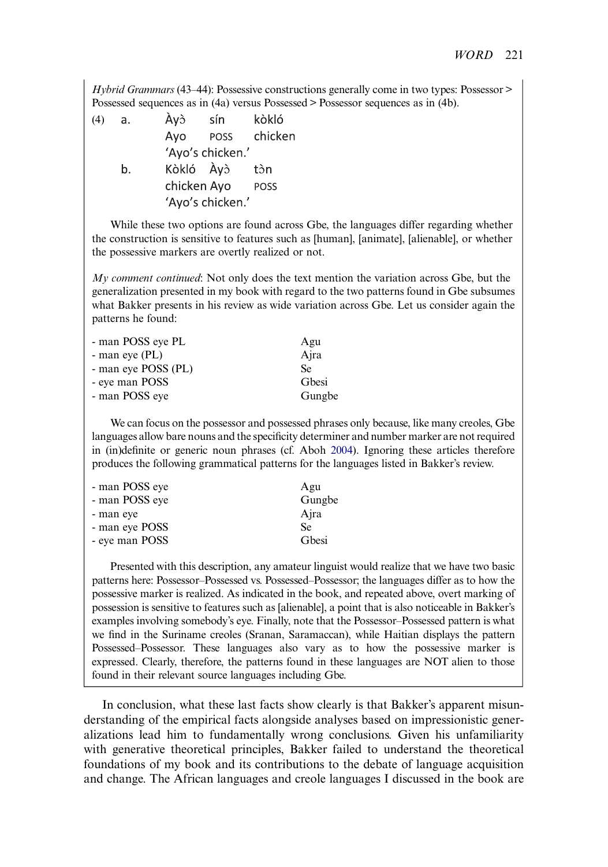Hybrid Grammars (43–44): Possessive constructions generally come in two types: Possessor > Possessed sequences as in (4a) versus Possessed > Possessor sequences as in (4b).

kvà sín kòkló (4)  $\overline{a}$ . Avo chicken **POSS** 'Ayo's chicken.' Kòkló Àyò  $\mathbf{b}$ . tòn chicken Ayo **POSS** 'Avo's chicken.'

While these two options are found across Gbe, the languages differ regarding whether the construction is sensitive to features such as [human], [animate], [alienable], or whether the possessive markers are overtly realized or not.

My comment continued: Not only does the text mention the variation across Gbe, but the generalization presented in my book with regard to the two patterns found in Gbe subsumes what Bakker presents in his review as wide variation across Gbe. Let us consider again the patterns he found:

| - man POSS eye PL   | Agu    |
|---------------------|--------|
| - man eye $(PL)$    | Ajra   |
| - man eye POSS (PL) | Se.    |
| - eye man POSS      | Gbesi  |
| - man POSS eye      | Gungbe |

We can focus on the possessor and possessed phrases only because, like many creoles, Gbe languages allow bare nouns and the specificity determiner and number marker are not required in (in)definite or generic noun phrases (cf. Aboh [2004](#page-16-0)). Ignoring these articles therefore produces the following grammatical patterns for the languages listed in Bakker's review.

| - man POSS eye | Agu    |
|----------------|--------|
| - man POSS eye | Gungbe |
| - man eye      | Ajra   |
| - man eye POSS | Se     |
| - eye man POSS | Gbesi  |

Presented with this description, any amateur linguist would realize that we have two basic patterns here: Possessor–Possessed vs. Possessed–Possessor; the languages differ as to how the possessive marker is realized. As indicated in the book, and repeated above, overt marking of possession is sensitive to features such as [alienable], a point that is also noticeable in Bakker's examples involving somebody's eye. Finally, note that the Possessor–Possessed pattern is what we find in the Suriname creoles (Sranan, Saramaccan), while Haitian displays the pattern Possessed–Possessor. These languages also vary as to how the possessive marker is expressed. Clearly, therefore, the patterns found in these languages are NOT alien to those found in their relevant source languages including Gbe.

In conclusion, what these last facts show clearly is that Bakker's apparent misunderstanding of the empirical facts alongside analyses based on impressionistic generalizations lead him to fundamentally wrong conclusions. Given his unfamiliarity with generative theoretical principles, Bakker failed to understand the theoretical foundations of my book and its contributions to the debate of language acquisition and change. The African languages and creole languages I discussed in the book are